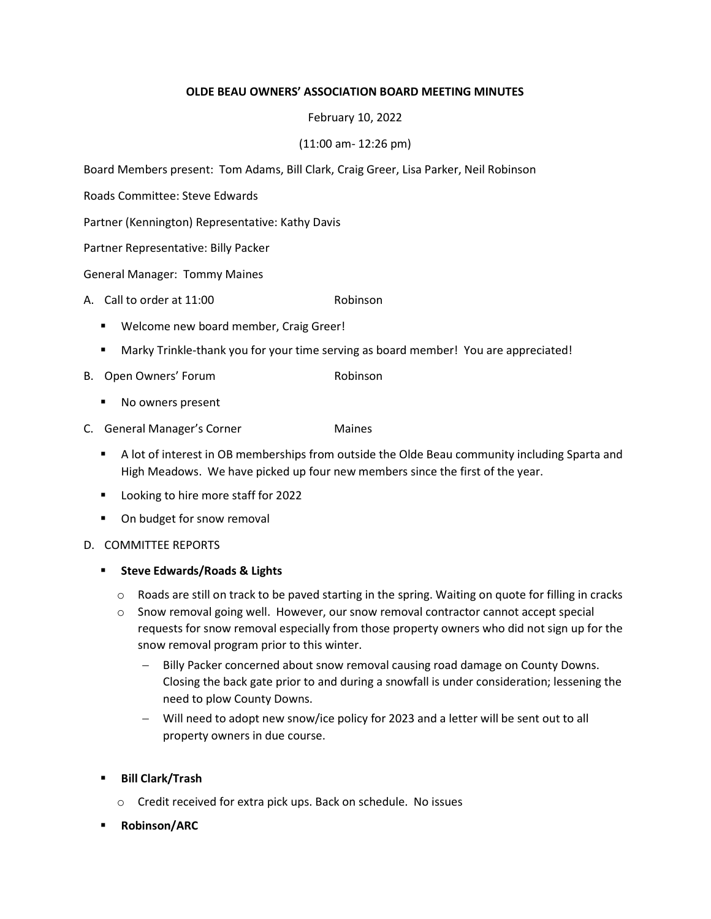## OLDE BEAU OWNERS' ASSOCIATION BOARD MEETING MINUTES

## February 10, 2022

# (11:00 am- 12:26 pm)

Board Members present: Tom Adams, Bill Clark, Craig Greer, Lisa Parker, Neil Robinson

Roads Committee: Steve Edwards

Partner (Kennington) Representative: Kathy Davis

Partner Representative: Billy Packer

General Manager: Tommy Maines

- A. Call to order at 11:00 Robinson
	- **Welcome new board member, Craig Greer!**
	- Marky Trinkle-thank you for your time serving as board member! You are appreciated!
- B. Open Owners' Forum and the community Robinson
	- No owners present
- C. General Manager's Corner **Maines** 
	- **A lot of interest in OB memberships from outside the Olde Beau community including Sparta and** High Meadows. We have picked up four new members since the first of the year.
	- Looking to hire more staff for 2022
	- On budget for snow removal
- D. COMMITTEE REPORTS

## **EXECTE Edwards/Roads & Lights**

- $\circ$  Roads are still on track to be paved starting in the spring. Waiting on quote for filling in cracks
- o Snow removal going well. However, our snow removal contractor cannot accept special requests for snow removal especially from those property owners who did not sign up for the snow removal program prior to this winter.
	- Billy Packer concerned about snow removal causing road damage on County Downs. Closing the back gate prior to and during a snowfall is under consideration; lessening the need to plow County Downs.
	- Will need to adopt new snow/ice policy for 2023 and a letter will be sent out to all property owners in due course.
- Bill Clark/Trash
	- o Credit received for extra pick ups. Back on schedule. No issues
- Robinson/ARC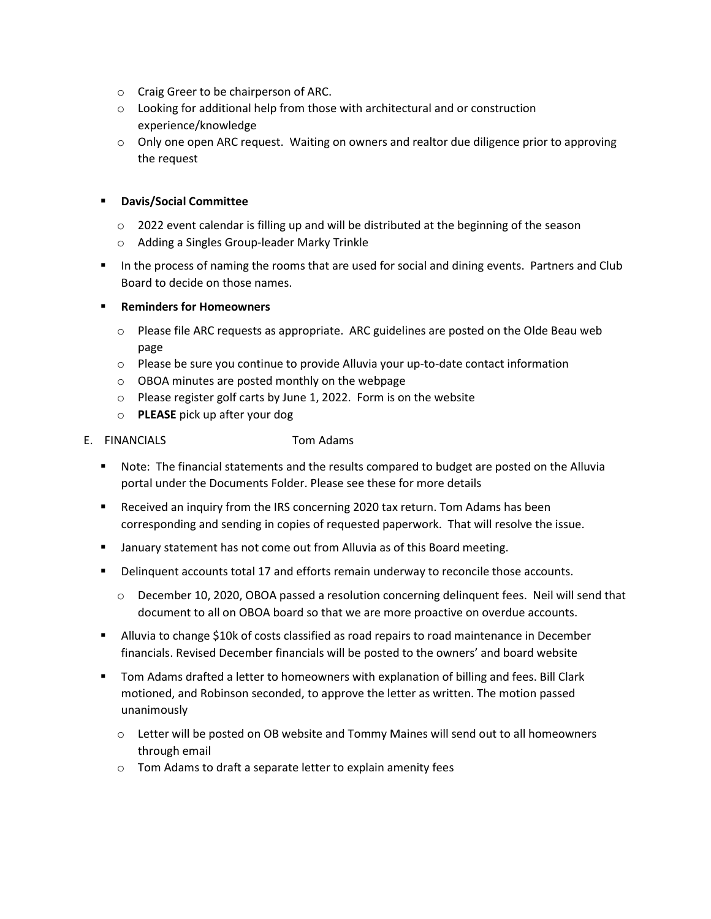- o Craig Greer to be chairperson of ARC.
- o Looking for additional help from those with architectural and or construction experience/knowledge
- $\circ$  Only one open ARC request. Waiting on owners and realtor due diligence prior to approving the request

## Davis/Social Committee

- $\circ$  2022 event calendar is filling up and will be distributed at the beginning of the season
- o Adding a Singles Group-leader Marky Trinkle
- In the process of naming the rooms that are used for social and dining events. Partners and Club Board to decide on those names.

## Reminders for Homeowners

- $\circ$  Please file ARC requests as appropriate. ARC guidelines are posted on the Olde Beau web page
- o Please be sure you continue to provide Alluvia your up-to-date contact information
- o OBOA minutes are posted monthly on the webpage
- o Please register golf carts by June 1, 2022. Form is on the website
- o PLEASE pick up after your dog

## E. FINANCIALS Tom Adams

- Note: The financial statements and the results compared to budget are posted on the Alluvia portal under the Documents Folder. Please see these for more details
- Received an inquiry from the IRS concerning 2020 tax return. Tom Adams has been corresponding and sending in copies of requested paperwork. That will resolve the issue.
- January statement has not come out from Alluvia as of this Board meeting.
- Delinquent accounts total 17 and efforts remain underway to reconcile those accounts.
	- o December 10, 2020, OBOA passed a resolution concerning delinquent fees. Neil will send that document to all on OBOA board so that we are more proactive on overdue accounts.
- Alluvia to change \$10k of costs classified as road repairs to road maintenance in December financials. Revised December financials will be posted to the owners' and board website
- Tom Adams drafted a letter to homeowners with explanation of billing and fees. Bill Clark motioned, and Robinson seconded, to approve the letter as written. The motion passed unanimously
	- o Letter will be posted on OB website and Tommy Maines will send out to all homeowners through email
	- o Tom Adams to draft a separate letter to explain amenity fees